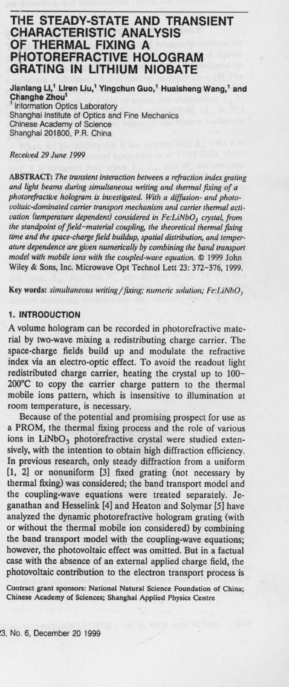# **THE STEADY**-**STATE AND TRANSIENT CHARACTERISTIC ANALYSIS OF THERMAL FIXING A PHOTOREFRACTIVE HOLOGRAM GRATING IN LITHIUM NIOBATE**

**Jianlang Li**,' **Liren Liu**,' **Yingchun Guo**,' **Huaisheng Wang,' and Changhe Zhou'** 1 Information Optics Laboratory

Shanghai Institute of Optics and Fine Mechanics Chinese Academy of Science Shanghai 201800, P.R. China

#### *Received 29 June* 1999

ABSTRACT: *The transient interaction between a refraction index grating and light beams during simultaneous writing and thermal fixing of a photorefractive hologram is investigated. With a diffusion- and photovoltaic-dominated carrier transport mechanism and carrier thermal activation (temperature dependent) considered in Fe:LiNbO<sub>3</sub> crystal, from the standpoint of field-material coupling, the theoretical thermal fixing time and the space-charge field buildup, spatial distribution, and temperature dependence are given numerically by combining the band transport model with mobile ions with the coupled-wave equation. ©* 1999 John Wiley & Sons, Inc. Microwave Opt Technol Lett 23: 372-376, 1999.

**Key words**: **simultaneous writing** /fixing; numeric solution; Fe:LiNbO,

### **1. INTRODUCTION**

A volume hologram can be recorded in photorefractive material by two-wave mixing a redistributing charge carrier. The space-charge fields build up and modulate the refractive index via an electro-optic effect. To avoid the readout light redistributed charge carrier, heating the crystal up to 100- 200°C to *copy* the carrier charge pattern to the thermal mobile ions pattern, which is insensitive to illumination at room temperature, is necessary.

Because of the potential and promising prospect for use as a PROM, the thermal fixing process and the role of various ions in LiNbO<sub>3</sub> photorefractive crystal were studied extensively, with the intention to obtain high diffraction efficiency. In previous research, only steady diffraction from a uniform [1, 2] or nonuniform [3] fixed grating (not necessary by thermal fixing) was considered; the band transport model and the coupling-wave equations were treated separately. Jeganathan and Hesselink [4] and Heaton and Solymar [5] have analyzed the dynamic photorefractive hologram grating (with or without the thermal mobile ion considered) by combining the band transport model with the coupling-wave equations; however, the photovoltaic effect was omitted. **But in** a factual case with the absence of an external applied charge field, the photovoltaic contribution to the electron transport process is

Contract **grant sponsors**: **National Natural Science Foundation** of China; Chinese Academy **of Sciences**; **Shanghai** Applied Physics Centre